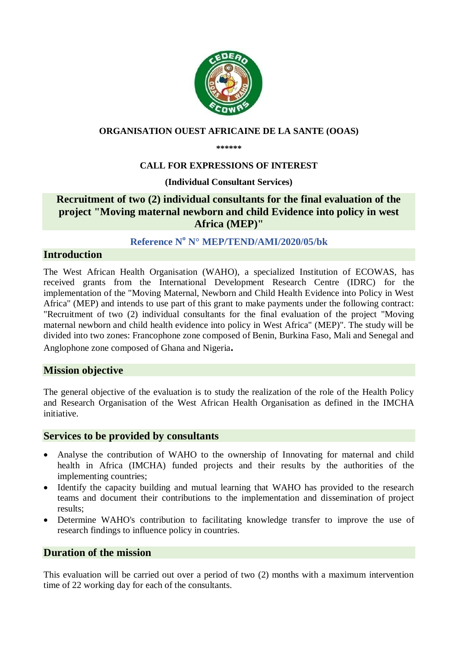

#### **ORGANISATION OUEST AFRICAINE DE LA SANTE (OOAS)**

**\*\*\*\*\*\***

### **CALL FOR EXPRESSIONS OF INTEREST**

#### **(Individual Consultant Services)**

# **Recruitment of two (2) individual consultants for the final evaluation of the project "Moving maternal newborn and child Evidence into policy in west Africa (MEP)"**

# **Reference N <sup>o</sup> N° MEP/TEND/AMI/2020/05/bk**

#### **Introduction**

The West African Health Organisation (WAHO), a specialized Institution of ECOWAS, has received grants from the International Development Research Centre (IDRC) for the implementation of the "Moving Maternal, Newborn and Child Health Evidence into Policy in West Africa" (MEP) and intends to use part of this grant to make payments under the following contract: "Recruitment of two (2) individual consultants for the final evaluation of the project "Moving maternal newborn and child health evidence into policy in West Africa" (MEP)". The study will be divided into two zones: Francophone zone composed of Benin, Burkina Faso, Mali and Senegal and Anglophone zone composed of Ghana and Nigeria**.** 

#### **Mission objective**

The general objective of the evaluation is to study the realization of the role of the Health Policy and Research Organisation of the West African Health Organisation as defined in the IMCHA initiative.

#### **Services to be provided by consultants**

- Analyse the contribution of WAHO to the ownership of Innovating for maternal and child health in Africa (IMCHA) funded projects and their results by the authorities of the implementing countries;
- Identify the capacity building and mutual learning that WAHO has provided to the research teams and document their contributions to the implementation and dissemination of project results;
- Determine WAHO's contribution to facilitating knowledge transfer to improve the use of research findings to influence policy in countries.

#### **Duration of the mission**

This evaluation will be carried out over a period of two (2) months with a maximum intervention time of 22 working day for each of the consultants.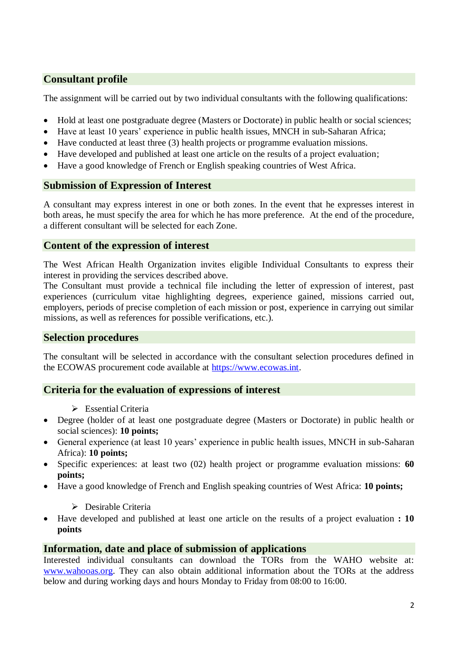# **Consultant profile**

The assignment will be carried out by two individual consultants with the following qualifications:

- Hold at least one postgraduate degree (Masters or Doctorate) in public health or social sciences;
- Have at least 10 years' experience in public health issues, MNCH in sub-Saharan Africa;
- Have conducted at least three (3) health projects or programme evaluation missions.
- Have developed and published at least one article on the results of a project evaluation;
- Have a good knowledge of French or English speaking countries of West Africa.

# **Submission of Expression of Interest**

A consultant may express interest in one or both zones. In the event that he expresses interest in both areas, he must specify the area for which he has more preference. At the end of the procedure, a different consultant will be selected for each Zone.

### **Content of the expression of interest**

The West African Health Organization invites eligible Individual Consultants to express their interest in providing the services described above.

The Consultant must provide a technical file including the letter of expression of interest, past experiences (curriculum vitae highlighting degrees, experience gained, missions carried out, employers, periods of precise completion of each mission or post, experience in carrying out similar missions, as well as references for possible verifications, etc.).

# **Selection procedures**

The consultant will be selected in accordance with the consultant selection procedures defined in the ECOWAS procurement code available at [https://www.ecowas.int.](https://www.ecowas.int/)

# **Criteria for the evaluation of expressions of interest**

- $\triangleright$  Essential Criteria
- Degree (holder of at least one postgraduate degree (Masters or Doctorate) in public health or social sciences): **10 points;**
- General experience (at least 10 years' experience in public health issues, MNCH in sub-Saharan Africa): **10 points;**
- Specific experiences: at least two (02) health project or programme evaluation missions: **60 points;**
- Have a good knowledge of French and English speaking countries of West Africa: **10 points;**
	- $\triangleright$  Desirable Criteria
- Have developed and published at least one article on the results of a project evaluation **: 10 points**

# **Information, date and place of submission of applications**

Interested individual consultants can download the TORs from the WAHO website at: [www.wahooas.org.](http://www.wahooas.org/) They can also obtain additional information about the TORs at the address below and during working days and hours Monday to Friday from 08:00 to 16:00.